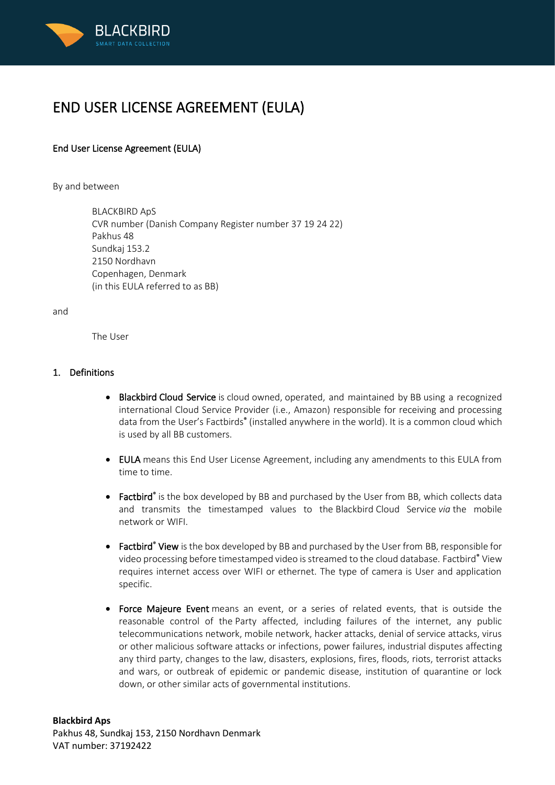

# END USER LICENSE AGREEMENT (EULA)

# End User License Agreement (EULA)

By and between

BLACKBIRD ApS CVR number (Danish Company Register number 37 19 24 22) Pakhus 48 Sundkaj 153.2 2150 Nordhavn Copenhagen, Denmark (in this EULA referred to as BB)

and

The User

## 1. Definitions

- Blackbird Cloud Service is cloud owned, operated, and maintained by BB using a recognized international Cloud Service Provider (i.e., Amazon) responsible for receiving and processing data from the User's Factbirds<sup>®</sup> (installed anywhere in the world). It is a common cloud which is used by all BB customers.
- EULA means this End User License Agreement, including any amendments to this EULA from time to time.
- Factbird<sup>®</sup> is the box developed by BB and purchased by the User from BB, which collects data and transmits the timestamped values to the Blackbird Cloud Service *via* the mobile network or WIFI.
- Factbird<sup>®</sup> View is the box developed by BB and purchased by the User from BB, responsible for video processing before timestamped video is streamed to the cloud database. Factbird<sup>®</sup> View requires internet access over WIFI or ethernet. The type of camera is User and application specific.
- Force Majeure Event means an event, or a series of related events, that is outside the reasonable control of the Party affected, including failures of the internet, any public telecommunications network, mobile network, hacker attacks, denial of service attacks, virus or other malicious software attacks or infections, power failures, industrial disputes affecting any third party, changes to the law, disasters, explosions, fires, floods, riots, terrorist attacks and wars, or outbreak of epidemic or pandemic disease, institution of quarantine or lock down, or other similar acts of governmental institutions.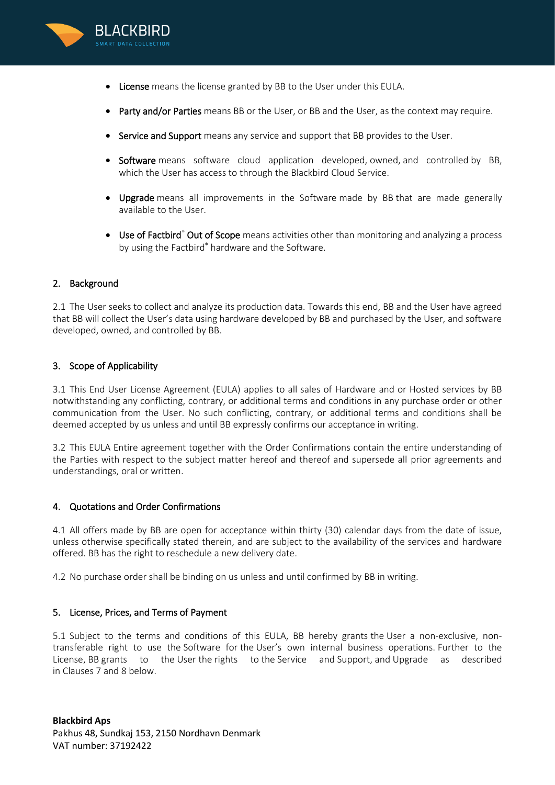

- License means the license granted by BB to the User under this EULA.
- Party and/or Parties means BB or the User, or BB and the User, as the context may require.
- Service and Support means any service and support that BB provides to the User.
- Software means software cloud application developed, owned, and controlled by BB, which the User has access to through the Blackbird Cloud Service.
- Upgrade means all improvements in the Software made by BB that are made generally available to the User.
- Use of Factbird<sup>®</sup> Out of Scope means activities other than monitoring and analyzing a process by using the Factbird® hardware and the Software.

## 2. Background

2.1 The User seeks to collect and analyze its production data. Towards this end, BB and the User have agreed that BB will collect the User's data using hardware developed by BB and purchased by the User, and software developed, owned, and controlled by BB.

#### 3. Scope of Applicability

3.1 This End User License Agreement (EULA) applies to all sales of Hardware and or Hosted services by BB notwithstanding any conflicting, contrary, or additional terms and conditions in any purchase order or other communication from the User. No such conflicting, contrary, or additional terms and conditions shall be deemed accepted by us unless and until BB expressly confirms our acceptance in writing.

3.2 This EULA Entire agreement together with the Order Confirmations contain the entire understanding of the Parties with respect to the subject matter hereof and thereof and supersede all prior agreements and understandings, oral or written.

#### 4. Quotations and Order Confirmations

4.1 All offers made by BB are open for acceptance within thirty (30) calendar days from the date of issue, unless otherwise specifically stated therein, and are subject to the availability of the services and hardware offered. BB has the right to reschedule a new delivery date.

4.2 No purchase order shall be binding on us unless and until confirmed by BB in writing.

#### 5. License, Prices, and Terms of Payment

5.1 Subject to the terms and conditions of this EULA, BB hereby grants the User a non-exclusive, nontransferable right to use the Software for the User's own internal business operations. Further to the License, BB grants to the User the rights to the Service and Support, and Upgrade as described in Clauses 7 and 8 below.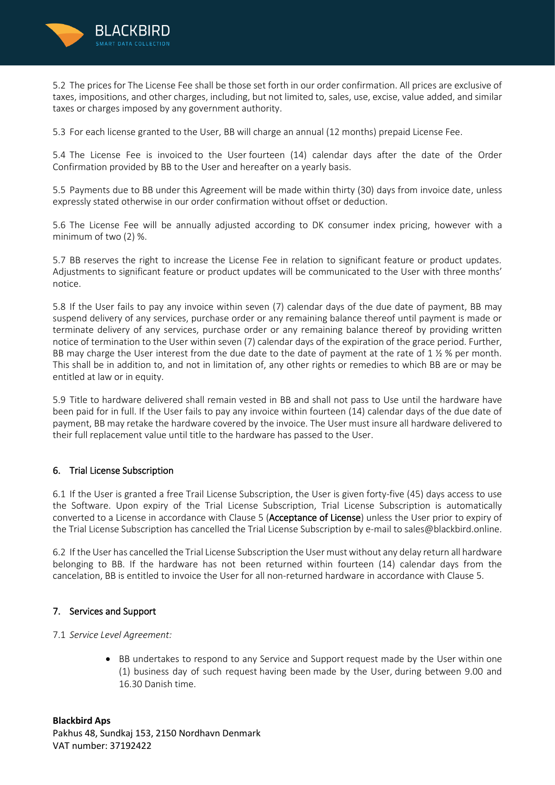

5.2 The prices for The License Fee shall be those set forth in our order confirmation. All prices are exclusive of taxes, impositions, and other charges, including, but not limited to, sales, use, excise, value added, and similar taxes or charges imposed by any government authority.

5.3 For each license granted to the User, BB will charge an annual (12 months) prepaid License Fee.

5.4 The License Fee is invoiced to the User fourteen (14) calendar days after the date of the Order Confirmation provided by BB to the User and hereafter on a yearly basis.

5.5 Payments due to BB under this Agreement will be made within thirty (30) days from invoice date, unless expressly stated otherwise in our order confirmation without offset or deduction.

5.6 The License Fee will be annually adjusted according to DK consumer index pricing, however with a minimum of two (2) %.

5.7 BB reserves the right to increase the License Fee in relation to significant feature or product updates. Adjustments to significant feature or product updates will be communicated to the User with three months' notice.

5.8 If the User fails to pay any invoice within seven (7) calendar days of the due date of payment, BB may suspend delivery of any services, purchase order or any remaining balance thereof until payment is made or terminate delivery of any services, purchase order or any remaining balance thereof by providing written notice of termination to the User within seven (7) calendar days of the expiration of the grace period. Further, BB may charge the User interest from the due date to the date of payment at the rate of 1  $\frac{1}{2}$  % per month. This shall be in addition to, and not in limitation of, any other rights or remedies to which BB are or may be entitled at law or in equity.

5.9 Title to hardware delivered shall remain vested in BB and shall not pass to Use until the hardware have been paid for in full. If the User fails to pay any invoice within fourteen (14) calendar days of the due date of payment, BB may retake the hardware covered by the invoice. The User must insure all hardware delivered to their full replacement value until title to the hardware has passed to the User.

#### 6. Trial License Subscription

6.1 If the User is granted a free Trail License Subscription, the User is given forty-five (45) days access to use the Software. Upon expiry of the Trial License Subscription, Trial License Subscription is automatically converted to a License in accordance with Clause 5 (Acceptance of License) unless the User prior to expiry of the Trial License Subscription has cancelled the Trial License Subscription by e-mail to sales@blackbird.online.

6.2 If the User has cancelled the Trial License Subscription the User must without any delay return all hardware belonging to BB. If the hardware has not been returned within fourteen (14) calendar days from the cancelation, BB is entitled to invoice the User for all non-returned hardware in accordance with Clause 5.

# 7. Services and Support

7.1 *Service Level Agreement:*

• BB undertakes to respond to any Service and Support request made by the User within one (1) business day of such request having been made by the User, during between 9.00 and 16.30 Danish time.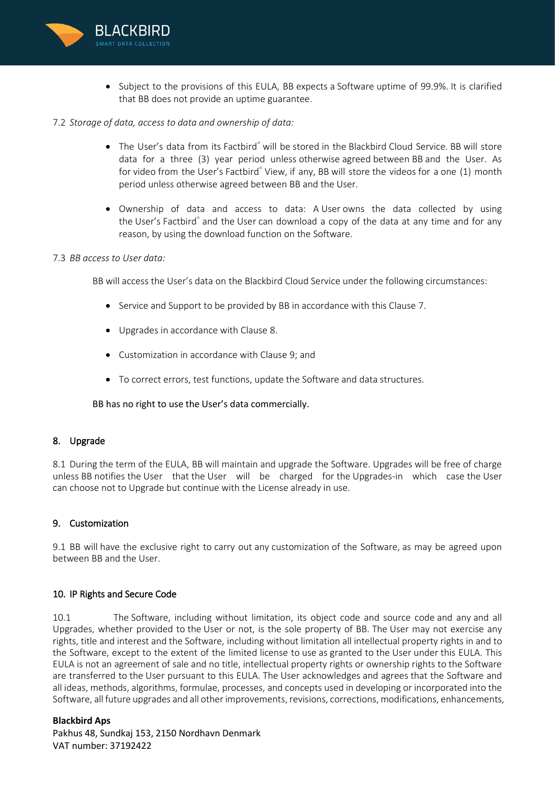

• Subject to the provisions of this EULA, BB expects a Software uptime of 99.9%. It is clarified that BB does not provide an uptime guarantee.

#### 7.2 *Storage of data, access to data and ownership of data:*

- The User's data from its Factbird® will be stored in the Blackbird Cloud Service. BB will store data for a three (3) year period unless otherwise agreed between BB and the User. As for video from the User's Factbird<sup>®</sup> View, if any, BB will store the videos for a one (1) month period unless otherwise agreed between BB and the User.
- Ownership of data and access to data: A User owns the data collected by using the User's Factbird® and the User can download a copy of the data at any time and for any reason, by using the download function on the Software.

#### 7.3 *BB access to User data:*

BB will access the User's data on the Blackbird Cloud Service under the following circumstances:

- Service and Support to be provided by BB in accordance with this Clause 7.
- Upgrades in accordance with Clause 8.
- Customization in accordance with Clause 9; and
- To correct errors, test functions, update the Software and data structures.

BB has no right to use the User's data commercially.

#### 8. Upgrade

8.1 During the term of the EULA, BB will maintain and upgrade the Software. Upgrades will be free of charge unless BB notifies the User that the User will be charged for the Upgrades-in which case the User can choose not to Upgrade but continue with the License already in use.

#### 9. Customization

9.1 BB will have the exclusive right to carry out any customization of the Software, as may be agreed upon between BB and the User.

#### 10. IP Rights and Secure Code

10.1 The Software, including without limitation, its object code and source code and any and all Upgrades, whether provided to the User or not, is the sole property of BB. The User may not exercise any rights, title and interest and the Software, including without limitation all intellectual property rights in and to the Software, except to the extent of the limited license to use as granted to the User under this EULA. This EULA is not an agreement of sale and no title, intellectual property rights or ownership rights to the Software are transferred to the User pursuant to this EULA. The User acknowledges and agrees that the Software and all ideas, methods, algorithms, formulae, processes, and concepts used in developing or incorporated into the Software, all future upgrades and all other improvements, revisions, corrections, modifications, enhancements,

#### **Blackbird Aps**

Pakhus 48, Sundkaj 153, 2150 Nordhavn Denmark VAT number: 37192422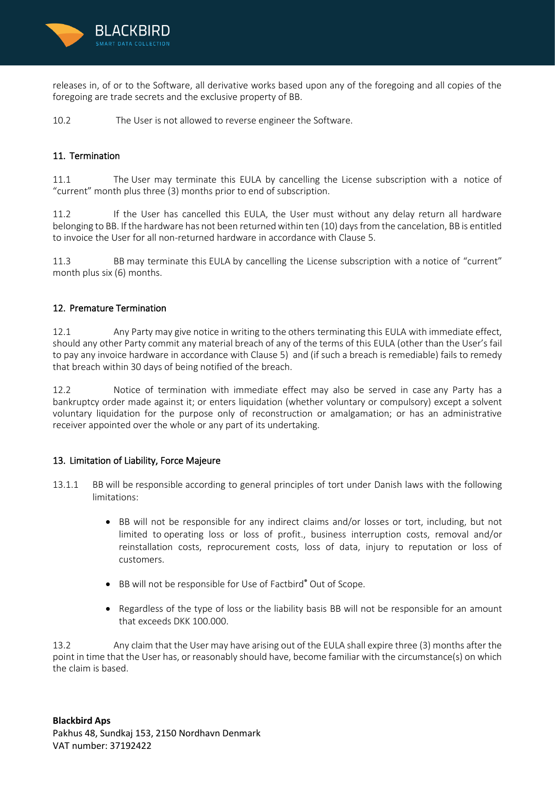

releases in, of or to the Software, all derivative works based upon any of the foregoing and all copies of the foregoing are trade secrets and the exclusive property of BB.

10.2 The User is not allowed to reverse engineer the Software.

# 11. Termination

11.1 The User may terminate this EULA by cancelling the License subscription with a notice of "current" month plus three (3) months prior to end of subscription.

11.2 If the User has cancelled this EULA, the User must without any delay return all hardware belonging to BB. If the hardware has not been returned within ten (10) days from the cancelation, BB is entitled to invoice the User for all non-returned hardware in accordance with Clause 5.

11.3 BB may terminate this EULA by cancelling the License subscription with a notice of "current" month plus six (6) months.

# 12. Premature Termination

12.1 Any Party may give notice in writing to the others terminating this EULA with immediate effect, should any other Party commit any material breach of any of the terms of this EULA (other than the User's fail to pay any invoice hardware in accordance with Clause 5) and (if such a breach is remediable) fails to remedy that breach within 30 days of being notified of the breach.

12.2 Notice of termination with immediate effect may also be served in case any Party has a bankruptcy order made against it; or enters liquidation (whether voluntary or compulsory) except a solvent voluntary liquidation for the purpose only of reconstruction or amalgamation; or has an administrative receiver appointed over the whole or any part of its undertaking.

# 13. Limitation of Liability, Force Majeure

- 13.1.1 BB will be responsible according to general principles of tort under Danish laws with the following limitations:
	- BB will not be responsible for any indirect claims and/or losses or tort, including, but not limited to operating loss or loss of profit., business interruption costs, removal and/or reinstallation costs, reprocurement costs, loss of data, injury to reputation or loss of customers.
	- BB will not be responsible for Use of Factbird® Out of Scope.
	- Regardless of the type of loss or the liability basis BB will not be responsible for an amount that exceeds DKK 100.000.

13.2 Any claim that the User may have arising out of the EULA shall expire three (3) months after the point in time that the User has, or reasonably should have, become familiar with the circumstance(s) on which the claim is based.